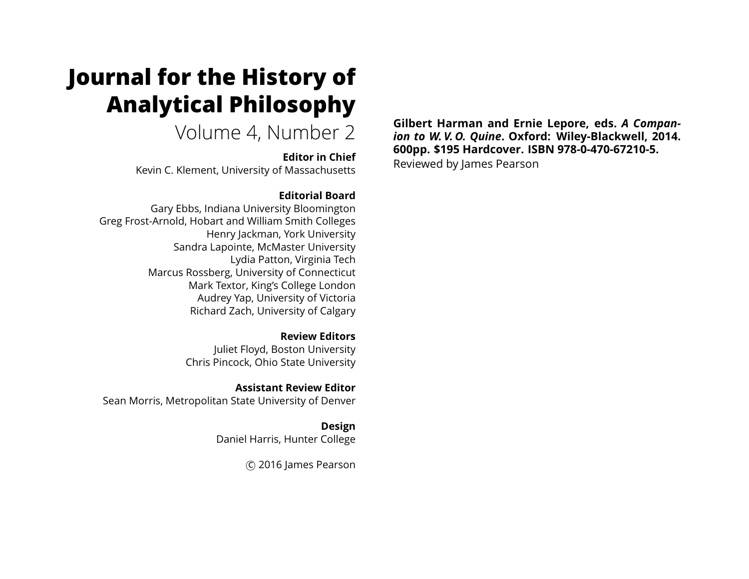# **Journal for the History of Analytical Philosophy**

Volume 4, Number 2

**Editor in Chief** Kevin C. Klement, University of Massachusetts

### **Editorial Board**

Gary Ebbs, Indiana University Bloomington Greg Frost-Arnold, Hobart and William Smith Colleges Henry Jackman, York University Sandra Lapointe, McMaster University Lydia Patton, Virginia Tech Marcus Rossberg, University of Connecticut Mark Textor, King's College London Audrey Yap, University of Victoria Richard Zach, University of Calgary

> **Review Editors** Juliet Floyd, Boston University Chris Pincock, Ohio State University

**Assistant Review Editor** Sean Morris, Metropolitan State University of Denver

> **Design** Daniel Harris, Hunter College

> > c 2016 James Pearson

**Gilbert Harman and Ernie Lepore, eds.** *A Companion to W. V. O. Quine***. Oxford: Wiley-Blackwell, 2014. 600pp. \$195 Hardcover. ISBN 978-0-470-67210-5.**

Reviewed by James Pearson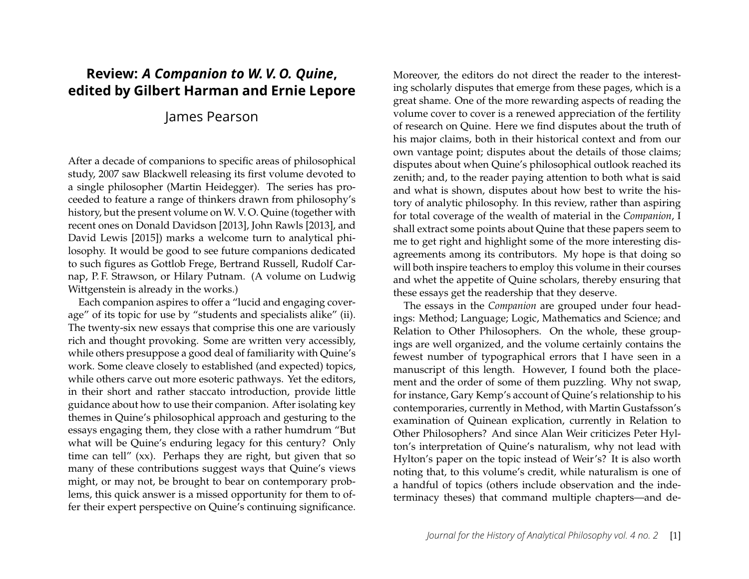## **Review:** *A Companion to W. V. O. Quine***, edited by Gilbert Harman and Ernie Lepore**

## James Pearson

After a decade of companions to specific areas of philosophical study, 2007 saw Blackwell releasing its first volume devoted to a single philosopher (Martin Heidegger). The series has proceeded to feature a range of thinkers drawn from philosophy's history, but the present volume on W. V. O. Quine (together with recent ones on Donald Davidson [2013], John Rawls [2013], and David Lewis [2015]) marks a welcome turn to analytical philosophy. It would be good to see future companions dedicated to such figures as Gottlob Frege, Bertrand Russell, Rudolf Carnap, P. F. Strawson, or Hilary Putnam. (A volume on Ludwig Wittgenstein is already in the works.)

Each companion aspires to offer a "lucid and engaging coverage" of its topic for use by "students and specialists alike" (ii). The twenty-six new essays that comprise this one are variously rich and thought provoking. Some are written very accessibly, while others presuppose a good deal of familiarity with Quine's work. Some cleave closely to established (and expected) topics, while others carve out more esoteric pathways. Yet the editors, in their short and rather staccato introduction, provide little guidance about how to use their companion. After isolating key themes in Quine's philosophical approach and gesturing to the essays engaging them, they close with a rather humdrum "But what will be Quine's enduring legacy for this century? Only time can tell" (xx). Perhaps they are right, but given that so many of these contributions suggest ways that Quine's views might, or may not, be brought to bear on contemporary problems, this quick answer is a missed opportunity for them to offer their expert perspective on Quine's continuing significance.

Moreover, the editors do not direct the reader to the interesting scholarly disputes that emerge from these pages, which is a great shame. One of the more rewarding aspects of reading the volume cover to cover is a renewed appreciation of the fertility of research on Quine. Here we find disputes about the truth of his major claims, both in their historical context and from our own vantage point; disputes about the details of those claims; disputes about when Quine's philosophical outlook reached its zenith; and, to the reader paying attention to both what is said and what is shown, disputes about how best to write the history of analytic philosophy. In this review, rather than aspiring for total coverage of the wealth of material in the *Companion*, I shall extract some points about Quine that these papers seem to me to get right and highlight some of the more interesting disagreements among its contributors. My hope is that doing so will both inspire teachers to employ this volume in their courses and whet the appetite of Quine scholars, thereby ensuring that these essays get the readership that they deserve.

The essays in the *Companion* are grouped under four headings: Method; Language; Logic, Mathematics and Science; and Relation to Other Philosophers. On the whole, these groupings are well organized, and the volume certainly contains the fewest number of typographical errors that I have seen in a manuscript of this length. However, I found both the placement and the order of some of them puzzling. Why not swap, for instance, Gary Kemp's account of Quine's relationship to his contemporaries, currently in Method, with Martin Gustafsson's examination of Quinean explication, currently in Relation to Other Philosophers? And since Alan Weir criticizes Peter Hylton's interpretation of Quine's naturalism, why not lead with Hylton's paper on the topic instead of Weir's? It is also worth noting that, to this volume's credit, while naturalism is one of a handful of topics (others include observation and the indeterminacy theses) that command multiple chapters—and de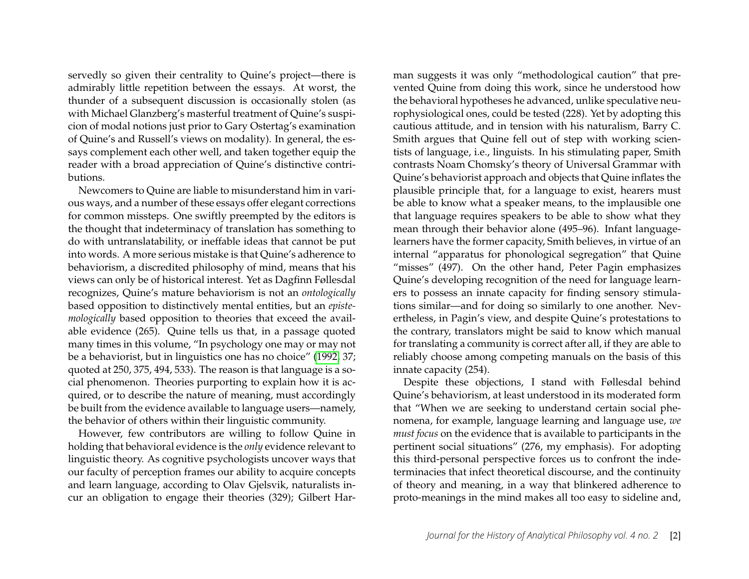servedly so given their centrality to Quine's project—there is admirably little repetition between the essays. At worst, the thunder of a subsequent discussion is occasionally stolen (as with Michael Glanzberg's masterful treatment of Quine's suspicion of modal notions just prior to Gary Ostertag's examination of Quine's and Russell's views on modality). In general, the essays complement each other well, and taken together equip the reader with a broad appreciation of Quine's distinctive contributions.

Newcomers to Quine are liable to misunderstand him in various ways, and a number of these essays offer elegant corrections for common missteps. One swiftly preempted by the editors is the thought that indeterminacy of translation has something to do with untranslatability, or ineffable ideas that cannot be put into words. A more serious mistake is that Quine's adherence to behaviorism, a discredited philosophy of mind, means that his views can only be of historical interest. Yet as Dagfinn Føllesdal recognizes, Quine's mature behaviorism is not an *ontologically* based opposition to distinctively mental entities, but an *epistemologically* based opposition to theories that exceed the available evidence (265). Quine tells us that, in a passage quoted many times in this volume, "In psychology one may or may not be a behaviorist, but in linguistics one has no choice" [\(1992,](#page-16-0) 37; quoted at 250, 375, 494, 533). The reason is that language is a social phenomenon. Theories purporting to explain how it is acquired, or to describe the nature of meaning, must accordingly be built from the evidence available to language users—namely, the behavior of others within their linguistic community.

However, few contributors are willing to follow Quine in holding that behavioral evidence is the *only* evidence relevant to linguistic theory. As cognitive psychologists uncover ways that our faculty of perception frames our ability to acquire concepts and learn language, according to Olav Gjelsvik, naturalists incur an obligation to engage their theories (329); Gilbert Harman suggests it was only "methodological caution" that prevented Quine from doing this work, since he understood how the behavioral hypotheses he advanced, unlike speculative neurophysiological ones, could be tested (228). Yet by adopting this cautious attitude, and in tension with his naturalism, Barry C. Smith argues that Quine fell out of step with working scientists of language, i.e., linguists. In his stimulating paper, Smith contrasts Noam Chomsky's theory of Universal Grammar with Quine's behaviorist approach and objects that Quine inflates the plausible principle that, for a language to exist, hearers must be able to know what a speaker means, to the implausible one that language requires speakers to be able to show what they mean through their behavior alone (495–96). Infant languagelearners have the former capacity, Smith believes, in virtue of an internal "apparatus for phonological segregation" that Quine "misses" (497). On the other hand, Peter Pagin emphasizes Quine's developing recognition of the need for language learners to possess an innate capacity for finding sensory stimulations similar—and for doing so similarly to one another. Nevertheless, in Pagin's view, and despite Quine's protestations to the contrary, translators might be said to know which manual for translating a community is correct after all, if they are able to reliably choose among competing manuals on the basis of this innate capacity (254).

Despite these objections, I stand with Føllesdal behind Quine's behaviorism, at least understood in its moderated form that "When we are seeking to understand certain social phenomena, for example, language learning and language use, *we must focus* on the evidence that is available to participants in the pertinent social situations" (276, my emphasis). For adopting this third-personal perspective forces us to confront the indeterminacies that infect theoretical discourse, and the continuity of theory and meaning, in a way that blinkered adherence to proto-meanings in the mind makes all too easy to sideline and,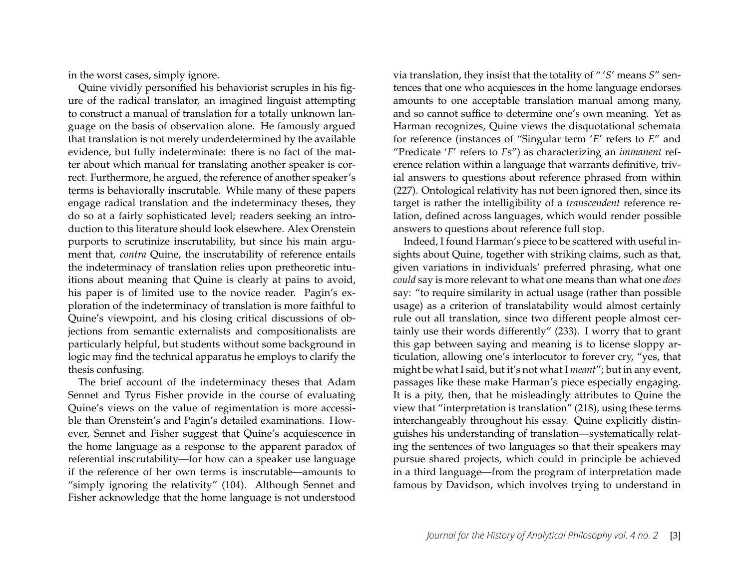in the worst cases, simply ignore.

Quine vividly personified his behaviorist scruples in his figure of the radical translator, an imagined linguist attempting to construct a manual of translation for a totally unknown language on the basis of observation alone. He famously argued that translation is not merely underdetermined by the available evidence, but fully indeterminate: there is no fact of the matter about which manual for translating another speaker is correct. Furthermore, he argued, the reference of another speaker's terms is behaviorally inscrutable. While many of these papers engage radical translation and the indeterminacy theses, they do so at a fairly sophisticated level; readers seeking an introduction to this literature should look elsewhere. Alex Orenstein purports to scrutinize inscrutability, but since his main argument that, *contra* Quine, the inscrutability of reference entails the indeterminacy of translation relies upon pretheoretic intuitions about meaning that Quine is clearly at pains to avoid, his paper is of limited use to the novice reader. Pagin's exploration of the indeterminacy of translation is more faithful to Quine's viewpoint, and his closing critical discussions of objections from semantic externalists and compositionalists are particularly helpful, but students without some background in logic may find the technical apparatus he employs to clarify the thesis confusing.

The brief account of the indeterminacy theses that Adam Sennet and Tyrus Fisher provide in the course of evaluating Quine's views on the value of regimentation is more accessible than Orenstein's and Pagin's detailed examinations. However, Sennet and Fisher suggest that Quine's acquiescence in the home language as a response to the apparent paradox of referential inscrutability—for how can a speaker use language if the reference of her own terms is inscrutable—amounts to "simply ignoring the relativity" (104). Although Sennet and Fisher acknowledge that the home language is not understood

via translation, they insist that the totality of " '*S*' means *S*" sentences that one who acquiesces in the home language endorses amounts to one acceptable translation manual among many, and so cannot suffice to determine one's own meaning. Yet as Harman recognizes, Quine views the disquotational schemata for reference (instances of "Singular term '*E*' refers to *E*" and "Predicate '*F*' refers to *F*s") as characterizing an *immanent* reference relation within a language that warrants definitive, trivial answers to questions about reference phrased from within (227). Ontological relativity has not been ignored then, since its target is rather the intelligibility of a *transcendent* reference relation, defined across languages, which would render possible answers to questions about reference full stop.

Indeed, I found Harman's piece to be scattered with useful insights about Quine, together with striking claims, such as that, given variations in individuals' preferred phrasing, what one *could* say is more relevant to what one means than what one *does* say: "to require similarity in actual usage (rather than possible usage) as a criterion of translatability would almost certainly rule out all translation, since two different people almost certainly use their words differently" (233). I worry that to grant this gap between saying and meaning is to license sloppy articulation, allowing one's interlocutor to forever cry, "yes, that might be what I said, but it's not what I *meant*"; but in any event, passages like these make Harman's piece especially engaging. It is a pity, then, that he misleadingly attributes to Quine the view that "interpretation is translation" (218), using these terms interchangeably throughout his essay. Quine explicitly distinguishes his understanding of translation—systematically relating the sentences of two languages so that their speakers may pursue shared projects, which could in principle be achieved in a third language—from the program of interpretation made famous by Davidson, which involves trying to understand in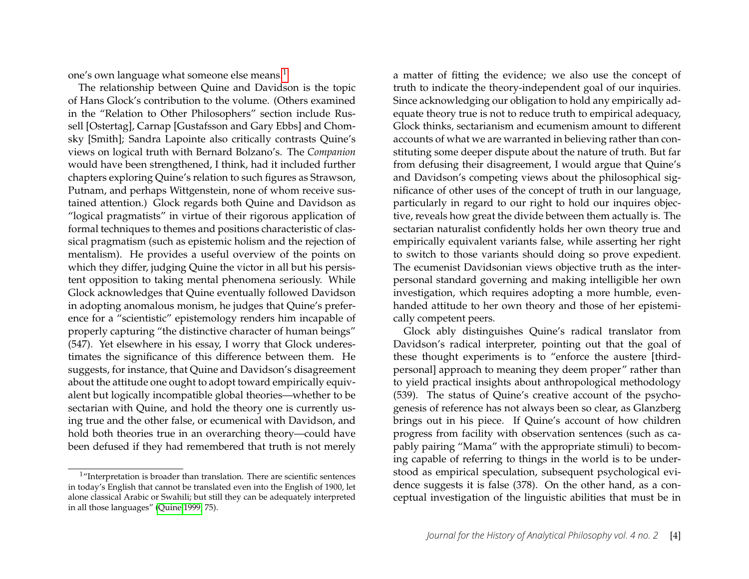one's own language what someone else means.<sup>[1](#page-4-0)</sup>

The relationship between Quine and Davidson is the topic of Hans Glock's contribution to the volume. (Others examined in the "Relation to Other Philosophers" section include Russell [Ostertag], Carnap [Gustafsson and Gary Ebbs] and Chomsky [Smith]; Sandra Lapointe also critically contrasts Quine's views on logical truth with Bernard Bolzano's. The *Companion* would have been strengthened, I think, had it included further chapters exploring Quine's relation to such figures as Strawson, Putnam, and perhaps Wittgenstein, none of whom receive sustained attention.) Glock regards both Quine and Davidson as "logical pragmatists" in virtue of their rigorous application of formal techniques to themes and positions characteristic of classical pragmatism (such as epistemic holism and the rejection of mentalism). He provides a useful overview of the points on which they differ, judging Quine the victor in all but his persistent opposition to taking mental phenomena seriously. While Glock acknowledges that Quine eventually followed Davidson in adopting anomalous monism, he judges that Quine's preference for a "scientistic" epistemology renders him incapable of properly capturing "the distinctive character of human beings" (547). Yet elsewhere in his essay, I worry that Glock underestimates the significance of this difference between them. He suggests, for instance, that Quine and Davidson's disagreement about the attitude one ought to adopt toward empirically equivalent but logically incompatible global theories—whether to be sectarian with Quine, and hold the theory one is currently using true and the other false, or ecumenical with Davidson, and hold both theories true in an overarching theory—could have been defused if they had remembered that truth is not merely

a matter of fitting the evidence; we also use the concept of truth to indicate the theory-independent goal of our inquiries. Since acknowledging our obligation to hold any empirically adequate theory true is not to reduce truth to empirical adequacy, Glock thinks, sectarianism and ecumenism amount to different accounts of what we are warranted in believing rather than constituting some deeper dispute about the nature of truth. But far from defusing their disagreement, I would argue that Quine's and Davidson's competing views about the philosophical significance of other uses of the concept of truth in our language, particularly in regard to our right to hold our inquires objective, reveals how great the divide between them actually is. The sectarian naturalist confidently holds her own theory true and empirically equivalent variants false, while asserting her right to switch to those variants should doing so prove expedient. The ecumenist Davidsonian views objective truth as the interpersonal standard governing and making intelligible her own investigation, which requires adopting a more humble, evenhanded attitude to her own theory and those of her epistemically competent peers.

Glock ably distinguishes Quine's radical translator from Davidson's radical interpreter, pointing out that the goal of these thought experiments is to "enforce the austere [thirdpersonal] approach to meaning they deem proper" rather than to yield practical insights about anthropological methodology (539). The status of Quine's creative account of the psychogenesis of reference has not always been so clear, as Glanzberg brings out in his piece. If Quine's account of how children progress from facility with observation sentences (such as capably pairing "Mama" with the appropriate stimuli) to becoming capable of referring to things in the world is to be understood as empirical speculation, subsequent psychological evidence suggests it is false (378). On the other hand, as a conceptual investigation of the linguistic abilities that must be in

<span id="page-4-0"></span><sup>&</sup>lt;sup>1</sup>"Interpretation is broader than translation. There are scientific sentences in today's English that cannot be translated even into the English of 1900, let alone classical Arabic or Swahili; but still they can be adequately interpreted in all those languages" [\(Quine 1999,](#page-16-1) 75).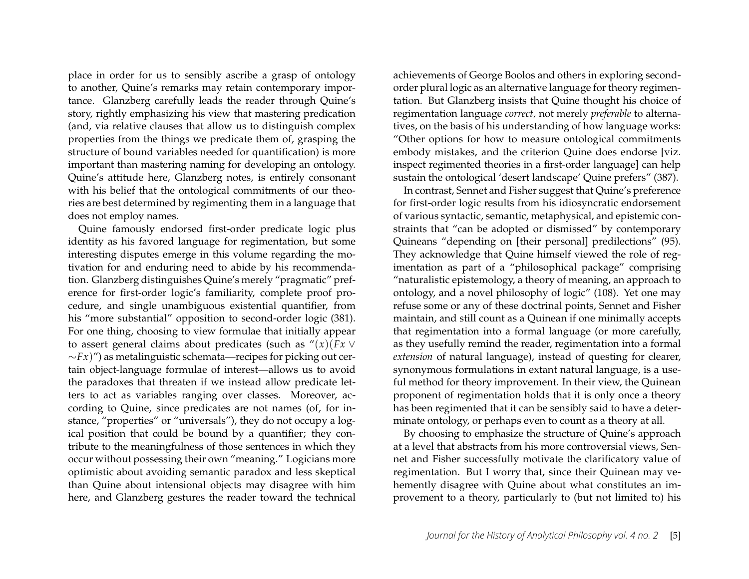place in order for us to sensibly ascribe a grasp of ontology to another, Quine's remarks may retain contemporary importance. Glanzberg carefully leads the reader through Quine's story, rightly emphasizing his view that mastering predication (and, via relative clauses that allow us to distinguish complex properties from the things we predicate them of, grasping the structure of bound variables needed for quantification) is more important than mastering naming for developing an ontology. Quine's attitude here, Glanzberg notes, is entirely consonant with his belief that the ontological commitments of our theories are best determined by regimenting them in a language that does not employ names.

Quine famously endorsed first-order predicate logic plus identity as his favored language for regimentation, but some interesting disputes emerge in this volume regarding the motivation for and enduring need to abide by his recommendation. Glanzberg distinguishes Quine's merely "pragmatic" preference for first-order logic's familiarity, complete proof procedure, and single unambiguous existential quantifier, from his "more substantial" opposition to second-order logic (381). For one thing, choosing to view formulae that initially appear to assert general claims about predicates (such as "(*x*)(*Fx* ∨ ∼*Fx*)") as metalinguistic schemata—recipes for picking out certain object-language formulae of interest—allows us to avoid the paradoxes that threaten if we instead allow predicate letters to act as variables ranging over classes. Moreover, according to Quine, since predicates are not names (of, for instance, "properties" or "universals"), they do not occupy a logical position that could be bound by a quantifier; they contribute to the meaningfulness of those sentences in which they occur without possessing their own "meaning." Logicians more optimistic about avoiding semantic paradox and less skeptical than Quine about intensional objects may disagree with him here, and Glanzberg gestures the reader toward the technical achievements of George Boolos and others in exploring secondorder plural logic as an alternative language for theory regimentation. But Glanzberg insists that Quine thought his choice of regimentation language *correct,* not merely *preferable* to alternatives, on the basis of his understanding of how language works: "Other options for how to measure ontological commitments embody mistakes, and the criterion Quine does endorse [viz. inspect regimented theories in a first-order language] can help sustain the ontological 'desert landscape' Quine prefers" (387).

In contrast, Sennet and Fisher suggest that Quine's preference for first-order logic results from his idiosyncratic endorsement of various syntactic, semantic, metaphysical, and epistemic constraints that "can be adopted or dismissed" by contemporary Quineans "depending on [their personal] predilections" (95). They acknowledge that Quine himself viewed the role of regimentation as part of a "philosophical package" comprising "naturalistic epistemology, a theory of meaning, an approach to ontology, and a novel philosophy of logic" (108). Yet one may refuse some or any of these doctrinal points, Sennet and Fisher maintain, and still count as a Quinean if one minimally accepts that regimentation into a formal language (or more carefully, as they usefully remind the reader, regimentation into a formal *extension* of natural language), instead of questing for clearer, synonymous formulations in extant natural language, is a useful method for theory improvement. In their view, the Quinean proponent of regimentation holds that it is only once a theory has been regimented that it can be sensibly said to have a determinate ontology, or perhaps even to count as a theory at all.

By choosing to emphasize the structure of Quine's approach at a level that abstracts from his more controversial views, Sennet and Fisher successfully motivate the clarificatory value of regimentation. But I worry that, since their Quinean may vehemently disagree with Quine about what constitutes an improvement to a theory, particularly to (but not limited to) his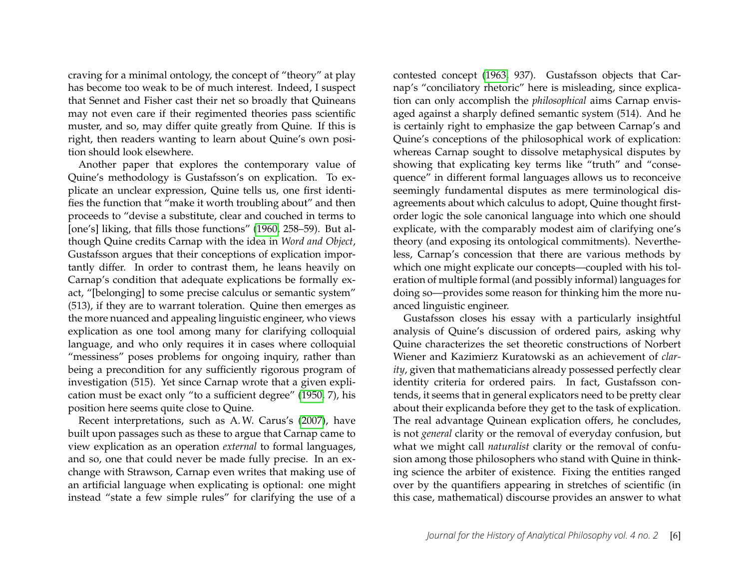craving for a minimal ontology, the concept of "theory" at play has become too weak to be of much interest. Indeed, I suspect that Sennet and Fisher cast their net so broadly that Quineans may not even care if their regimented theories pass scientific muster, and so, may differ quite greatly from Quine. If this is right, then readers wanting to learn about Quine's own position should look elsewhere.

Another paper that explores the contemporary value of Quine's methodology is Gustafsson's on explication. To explicate an unclear expression, Quine tells us, one first identifies the function that "make it worth troubling about" and then proceeds to "devise a substitute, clear and couched in terms to [one's] liking, that fills those functions" [\(1960,](#page-16-2) 258–59). But although Quine credits Carnap with the idea in *Word and Object*, Gustafsson argues that their conceptions of explication importantly differ. In order to contrast them, he leans heavily on Carnap's condition that adequate explications be formally exact, "[belonging] to some precise calculus or semantic system" (513), if they are to warrant toleration. Quine then emerges as the more nuanced and appealing linguistic engineer, who views explication as one tool among many for clarifying colloquial language, and who only requires it in cases where colloquial "messiness" poses problems for ongoing inquiry, rather than being a precondition for any sufficiently rigorous program of investigation (515). Yet since Carnap wrote that a given explication must be exact only "to a sufficient degree" [\(1950,](#page-15-0) 7), his position here seems quite close to Quine.

Recent interpretations, such as A. W. Carus's [\(2007\)](#page-15-1), have built upon passages such as these to argue that Carnap came to view explication as an operation *external* to formal languages, and so, one that could never be made fully precise. In an exchange with Strawson, Carnap even writes that making use of an artificial language when explicating is optional: one might instead "state a few simple rules" for clarifying the use of a contested concept [\(1963,](#page-15-2) 937). Gustafsson objects that Carnap's "conciliatory rhetoric" here is misleading, since explication can only accomplish the *philosophical* aims Carnap envisaged against a sharply defined semantic system (514). And he is certainly right to emphasize the gap between Carnap's and Quine's conceptions of the philosophical work of explication: whereas Carnap sought to dissolve metaphysical disputes by showing that explicating key terms like "truth" and "consequence" in different formal languages allows us to reconceive seemingly fundamental disputes as mere terminological disagreements about which calculus to adopt, Quine thought firstorder logic the sole canonical language into which one should explicate, with the comparably modest aim of clarifying one's theory (and exposing its ontological commitments). Nevertheless, Carnap's concession that there are various methods by which one might explicate our concepts—coupled with his toleration of multiple formal (and possibly informal) languages for doing so—provides some reason for thinking him the more nuanced linguistic engineer.

Gustafsson closes his essay with a particularly insightful analysis of Quine's discussion of ordered pairs, asking why Quine characterizes the set theoretic constructions of Norbert Wiener and Kazimierz Kuratowski as an achievement of *clarity*, given that mathematicians already possessed perfectly clear identity criteria for ordered pairs. In fact, Gustafsson contends, it seems that in general explicators need to be pretty clear about their explicanda before they get to the task of explication. The real advantage Quinean explication offers, he concludes, is not *general* clarity or the removal of everyday confusion, but what we might call *naturalist* clarity or the removal of confusion among those philosophers who stand with Quine in thinking science the arbiter of existence. Fixing the entities ranged over by the quantifiers appearing in stretches of scientific (in this case, mathematical) discourse provides an answer to what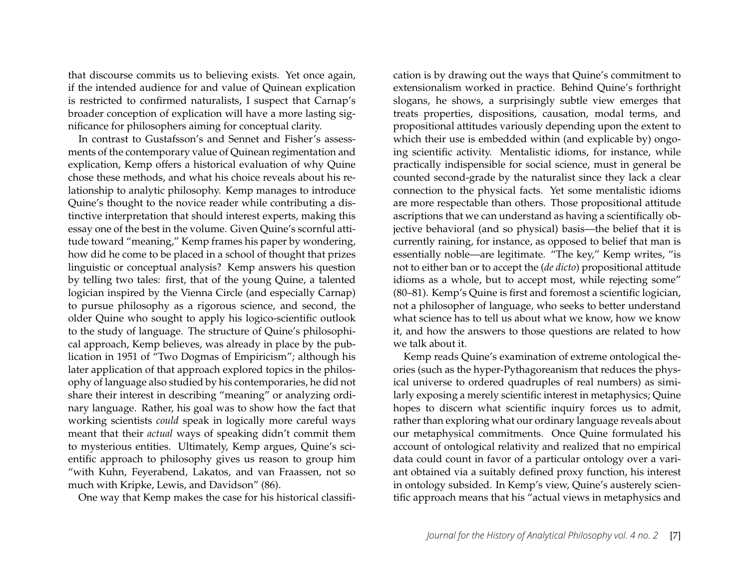that discourse commits us to believing exists. Yet once again, if the intended audience for and value of Quinean explication is restricted to confirmed naturalists, I suspect that Carnap's broader conception of explication will have a more lasting significance for philosophers aiming for conceptual clarity.

In contrast to Gustafsson's and Sennet and Fisher's assessments of the contemporary value of Quinean regimentation and explication, Kemp offers a historical evaluation of why Quine chose these methods, and what his choice reveals about his relationship to analytic philosophy. Kemp manages to introduce Quine's thought to the novice reader while contributing a distinctive interpretation that should interest experts, making this essay one of the best in the volume. Given Quine's scornful attitude toward "meaning," Kemp frames his paper by wondering, how did he come to be placed in a school of thought that prizes linguistic or conceptual analysis? Kemp answers his question by telling two tales: first, that of the young Quine, a talented logician inspired by the Vienna Circle (and especially Carnap) to pursue philosophy as a rigorous science, and second, the older Quine who sought to apply his logico-scientific outlook to the study of language. The structure of Quine's philosophical approach, Kemp believes, was already in place by the publication in 1951 of "Two Dogmas of Empiricism"; although his later application of that approach explored topics in the philosophy of language also studied by his contemporaries, he did not share their interest in describing "meaning" or analyzing ordinary language. Rather, his goal was to show how the fact that working scientists *could* speak in logically more careful ways meant that their *actual* ways of speaking didn't commit them to mysterious entities. Ultimately, Kemp argues, Quine's scientific approach to philosophy gives us reason to group him "with Kuhn, Feyerabend, Lakatos, and van Fraassen, not so much with Kripke, Lewis, and Davidson" (86).

One way that Kemp makes the case for his historical classifi-

cation is by drawing out the ways that Quine's commitment to extensionalism worked in practice. Behind Quine's forthright slogans, he shows, a surprisingly subtle view emerges that treats properties, dispositions, causation, modal terms, and propositional attitudes variously depending upon the extent to which their use is embedded within (and explicable by) ongoing scientific activity. Mentalistic idioms, for instance, while practically indispensible for social science, must in general be counted second-grade by the naturalist since they lack a clear connection to the physical facts. Yet some mentalistic idioms are more respectable than others. Those propositional attitude ascriptions that we can understand as having a scientifically objective behavioral (and so physical) basis—the belief that it is currently raining, for instance, as opposed to belief that man is essentially noble—are legitimate. "The key," Kemp writes, "is not to either ban or to accept the (*de dicto*) propositional attitude idioms as a whole, but to accept most, while rejecting some" (80–81). Kemp's Quine is first and foremost a scientific logician, not a philosopher of language, who seeks to better understand what science has to tell us about what we know, how we know it, and how the answers to those questions are related to how we talk about it.

Kemp reads Quine's examination of extreme ontological theories (such as the hyper-Pythagoreanism that reduces the physical universe to ordered quadruples of real numbers) as similarly exposing a merely scientific interest in metaphysics; Quine hopes to discern what scientific inquiry forces us to admit, rather than exploring what our ordinary language reveals about our metaphysical commitments. Once Quine formulated his account of ontological relativity and realized that no empirical data could count in favor of a particular ontology over a variant obtained via a suitably defined proxy function, his interest in ontology subsided. In Kemp's view, Quine's austerely scientific approach means that his "actual views in metaphysics and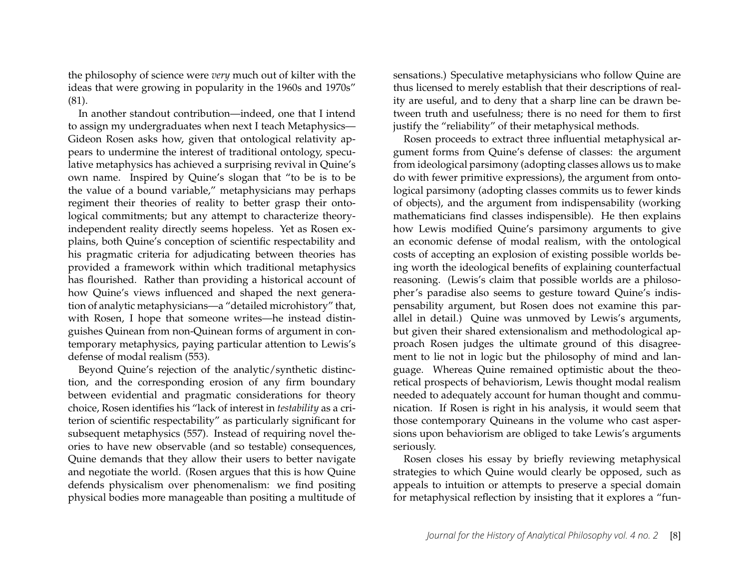the philosophy of science were *very* much out of kilter with the ideas that were growing in popularity in the 1960s and 1970s" (81).

In another standout contribution—indeed, one that I intend to assign my undergraduates when next I teach Metaphysics— Gideon Rosen asks how, given that ontological relativity appears to undermine the interest of traditional ontology, speculative metaphysics has achieved a surprising revival in Quine's own name. Inspired by Quine's slogan that "to be is to be the value of a bound variable," metaphysicians may perhaps regiment their theories of reality to better grasp their ontological commitments; but any attempt to characterize theoryindependent reality directly seems hopeless. Yet as Rosen explains, both Quine's conception of scientific respectability and his pragmatic criteria for adjudicating between theories has provided a framework within which traditional metaphysics has flourished. Rather than providing a historical account of how Quine's views influenced and shaped the next generation of analytic metaphysicians—a "detailed microhistory" that, with Rosen, I hope that someone writes—he instead distinguishes Quinean from non-Quinean forms of argument in contemporary metaphysics, paying particular attention to Lewis's defense of modal realism (553).

Beyond Quine's rejection of the analytic/synthetic distinction, and the corresponding erosion of any firm boundary between evidential and pragmatic considerations for theory choice, Rosen identifies his "lack of interest in *testability* as a criterion of scientific respectability" as particularly significant for subsequent metaphysics (557). Instead of requiring novel theories to have new observable (and so testable) consequences, Quine demands that they allow their users to better navigate and negotiate the world. (Rosen argues that this is how Quine defends physicalism over phenomenalism: we find positing physical bodies more manageable than positing a multitude of sensations.) Speculative metaphysicians who follow Quine are thus licensed to merely establish that their descriptions of reality are useful, and to deny that a sharp line can be drawn between truth and usefulness; there is no need for them to first justify the "reliability" of their metaphysical methods.

Rosen proceeds to extract three influential metaphysical argument forms from Quine's defense of classes: the argument from ideological parsimony (adopting classes allows us to make do with fewer primitive expressions), the argument from ontological parsimony (adopting classes commits us to fewer kinds of objects), and the argument from indispensability (working mathematicians find classes indispensible). He then explains how Lewis modified Quine's parsimony arguments to give an economic defense of modal realism, with the ontological costs of accepting an explosion of existing possible worlds being worth the ideological benefits of explaining counterfactual reasoning. (Lewis's claim that possible worlds are a philosopher's paradise also seems to gesture toward Quine's indispensability argument, but Rosen does not examine this parallel in detail.) Quine was unmoved by Lewis's arguments, but given their shared extensionalism and methodological approach Rosen judges the ultimate ground of this disagreement to lie not in logic but the philosophy of mind and language. Whereas Quine remained optimistic about the theoretical prospects of behaviorism, Lewis thought modal realism needed to adequately account for human thought and communication. If Rosen is right in his analysis, it would seem that those contemporary Quineans in the volume who cast aspersions upon behaviorism are obliged to take Lewis's arguments seriously.

Rosen closes his essay by briefly reviewing metaphysical strategies to which Quine would clearly be opposed, such as appeals to intuition or attempts to preserve a special domain for metaphysical reflection by insisting that it explores a "fun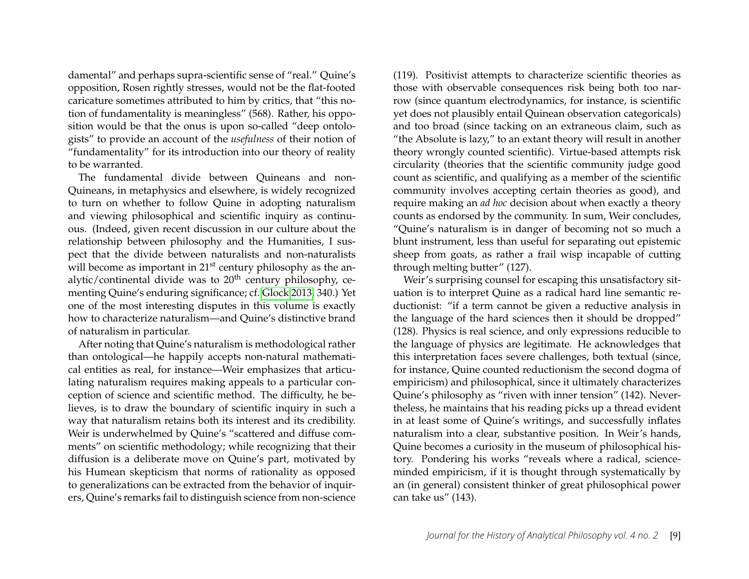damental" and perhaps supra-scientific sense of "real." Quine's opposition, Rosen rightly stresses, would not be the flat-footed caricature sometimes attributed to him by critics, that "this notion of fundamentality is meaningless" (568). Rather, his opposition would be that the onus is upon so-called "deep ontologists" to provide an account of the *usefulness* of their notion of "fundamentality" for its introduction into our theory of reality to be warranted.

The fundamental divide between Quineans and non-Quineans, in metaphysics and elsewhere, is widely recognized to turn on whether to follow Quine in adopting naturalism and viewing philosophical and scientific inquiry as continuous. (Indeed, given recent discussion in our culture about the relationship between philosophy and the Humanities, I suspect that the divide between naturalists and non-naturalists will become as important in  $21<sup>st</sup>$  century philosophy as the analytic/continental divide was to  $20<sup>th</sup>$  century philosophy, cementing Quine's enduring significance; cf. [Glock 2013,](#page-16-3) 340.) Yet one of the most interesting disputes in this volume is exactly how to characterize naturalism—and Quine's distinctive brand of naturalism in particular.

After noting that Quine's naturalism is methodological rather than ontological—he happily accepts non-natural mathematical entities as real, for instance—Weir emphasizes that articulating naturalism requires making appeals to a particular conception of science and scientific method. The difficulty, he believes, is to draw the boundary of scientific inquiry in such a way that naturalism retains both its interest and its credibility. Weir is underwhelmed by Quine's "scattered and diffuse comments" on scientific methodology; while recognizing that their diffusion is a deliberate move on Quine's part, motivated by his Humean skepticism that norms of rationality as opposed to generalizations can be extracted from the behavior of inquirers, Quine's remarks fail to distinguish science from non-science (119). Positivist attempts to characterize scientific theories as those with observable consequences risk being both too narrow (since quantum electrodynamics, for instance, is scientific yet does not plausibly entail Quinean observation categoricals) and too broad (since tacking on an extraneous claim, such as "the Absolute is lazy," to an extant theory will result in another theory wrongly counted scientific). Virtue-based attempts risk circularity (theories that the scientific community judge good count as scientific, and qualifying as a member of the scientific community involves accepting certain theories as good), and require making an *ad hoc* decision about when exactly a theory counts as endorsed by the community. In sum, Weir concludes, "Quine's naturalism is in danger of becoming not so much a blunt instrument, less than useful for separating out epistemic sheep from goats, as rather a frail wisp incapable of cutting through melting butter" (127).

Weir's surprising counsel for escaping this unsatisfactory situation is to interpret Quine as a radical hard line semantic reductionist: "if a term cannot be given a reductive analysis in the language of the hard sciences then it should be dropped" (128). Physics is real science, and only expressions reducible to the language of physics are legitimate. He acknowledges that this interpretation faces severe challenges, both textual (since, for instance, Quine counted reductionism the second dogma of empiricism) and philosophical, since it ultimately characterizes Quine's philosophy as "riven with inner tension" (142). Nevertheless, he maintains that his reading picks up a thread evident in at least some of Quine's writings, and successfully inflates naturalism into a clear, substantive position. In Weir's hands, Quine becomes a curiosity in the museum of philosophical history. Pondering his works "reveals where a radical, scienceminded empiricism, if it is thought through systematically by an (in general) consistent thinker of great philosophical power can take us" (143).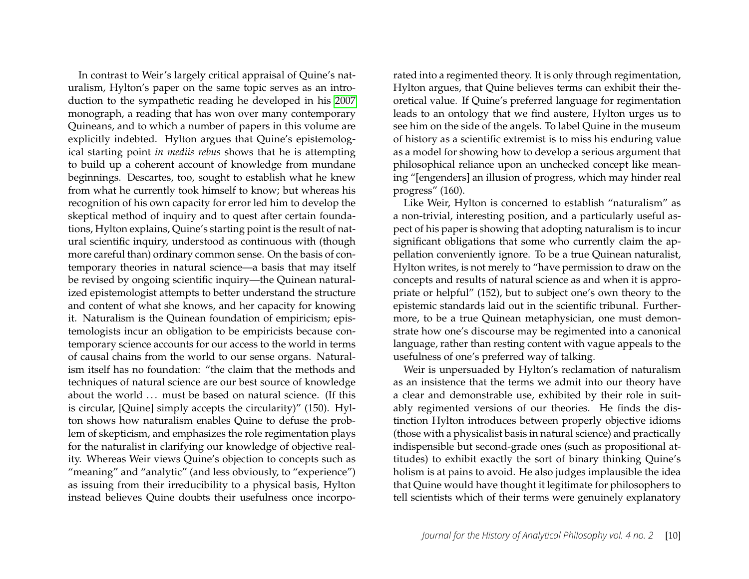In contrast to Weir's largely critical appraisal of Quine's naturalism, Hylton's paper on the same topic serves as an introduction to the sympathetic reading he developed in his [2007](#page-16-4) monograph, a reading that has won over many contemporary Quineans, and to which a number of papers in this volume are explicitly indebted. Hylton argues that Quine's epistemological starting point *in mediis rebus* shows that he is attempting to build up a coherent account of knowledge from mundane beginnings. Descartes, too, sought to establish what he knew from what he currently took himself to know; but whereas his recognition of his own capacity for error led him to develop the skeptical method of inquiry and to quest after certain foundations, Hylton explains, Quine's starting point is the result of natural scientific inquiry, understood as continuous with (though more careful than) ordinary common sense. On the basis of contemporary theories in natural science—a basis that may itself be revised by ongoing scientific inquiry—the Quinean naturalized epistemologist attempts to better understand the structure and content of what she knows, and her capacity for knowing it. Naturalism is the Quinean foundation of empiricism; epistemologists incur an obligation to be empiricists because contemporary science accounts for our access to the world in terms of causal chains from the world to our sense organs. Naturalism itself has no foundation: "the claim that the methods and techniques of natural science are our best source of knowledge about the world ... must be based on natural science. (If this is circular, [Quine] simply accepts the circularity)" (150). Hylton shows how naturalism enables Quine to defuse the problem of skepticism, and emphasizes the role regimentation plays for the naturalist in clarifying our knowledge of objective reality. Whereas Weir views Quine's objection to concepts such as "meaning" and "analytic" (and less obviously, to "experience") as issuing from their irreducibility to a physical basis, Hylton instead believes Quine doubts their usefulness once incorporated into a regimented theory. It is only through regimentation, Hylton argues, that Quine believes terms can exhibit their theoretical value. If Quine's preferred language for regimentation leads to an ontology that we find austere, Hylton urges us to see him on the side of the angels. To label Quine in the museum of history as a scientific extremist is to miss his enduring value as a model for showing how to develop a serious argument that philosophical reliance upon an unchecked concept like meaning "[engenders] an illusion of progress, which may hinder real progress" (160).

Like Weir, Hylton is concerned to establish "naturalism" as a non-trivial, interesting position, and a particularly useful aspect of his paper is showing that adopting naturalism is to incur significant obligations that some who currently claim the appellation conveniently ignore. To be a true Quinean naturalist, Hylton writes, is not merely to "have permission to draw on the concepts and results of natural science as and when it is appropriate or helpful" (152), but to subject one's own theory to the epistemic standards laid out in the scientific tribunal. Furthermore, to be a true Quinean metaphysician, one must demonstrate how one's discourse may be regimented into a canonical language, rather than resting content with vague appeals to the usefulness of one's preferred way of talking.

Weir is unpersuaded by Hylton's reclamation of naturalism as an insistence that the terms we admit into our theory have a clear and demonstrable use, exhibited by their role in suitably regimented versions of our theories. He finds the distinction Hylton introduces between properly objective idioms (those with a physicalist basis in natural science) and practically indispensible but second-grade ones (such as propositional attitudes) to exhibit exactly the sort of binary thinking Quine's holism is at pains to avoid. He also judges implausible the idea that Quine would have thought it legitimate for philosophers to tell scientists which of their terms were genuinely explanatory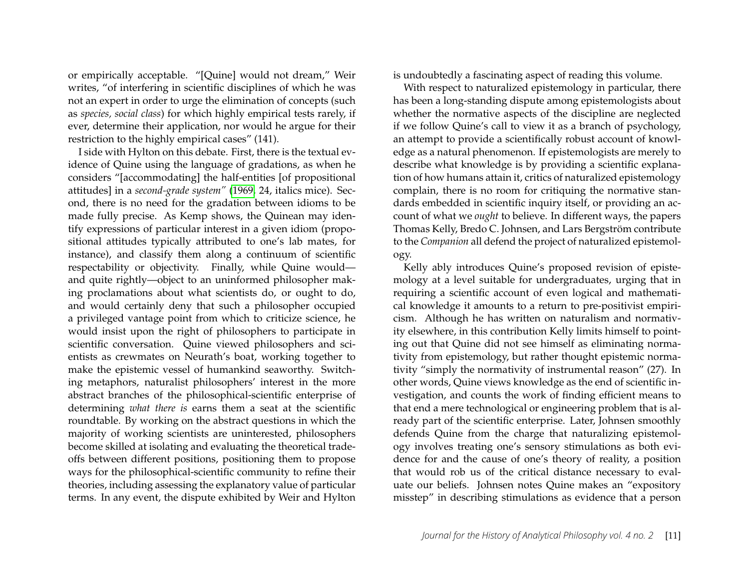or empirically acceptable. "[Quine] would not dream," Weir writes, "of interfering in scientific disciplines of which he was not an expert in order to urge the elimination of concepts (such as *species, social class*) for which highly empirical tests rarely, if ever, determine their application, nor would he argue for their restriction to the highly empirical cases" (141).

I side with Hylton on this debate. First, there is the textual evidence of Quine using the language of gradations, as when he considers "[accommodating] the half-entities [of propositional attitudes] in a *second-grade system"* [\(1969,](#page-16-5) 24, italics mice). Second, there is no need for the gradation between idioms to be made fully precise. As Kemp shows, the Quinean may identify expressions of particular interest in a given idiom (propositional attitudes typically attributed to one's lab mates, for instance), and classify them along a continuum of scientific respectability or objectivity. Finally, while Quine would and quite rightly—object to an uninformed philosopher making proclamations about what scientists do, or ought to do, and would certainly deny that such a philosopher occupied a privileged vantage point from which to criticize science, he would insist upon the right of philosophers to participate in scientific conversation. Quine viewed philosophers and scientists as crewmates on Neurath's boat, working together to make the epistemic vessel of humankind seaworthy. Switching metaphors, naturalist philosophers' interest in the more abstract branches of the philosophical-scientific enterprise of determining *what there is* earns them a seat at the scientific roundtable. By working on the abstract questions in which the majority of working scientists are uninterested, philosophers become skilled at isolating and evaluating the theoretical tradeoffs between different positions, positioning them to propose ways for the philosophical-scientific community to refine their theories, including assessing the explanatory value of particular terms. In any event, the dispute exhibited by Weir and Hylton is undoubtedly a fascinating aspect of reading this volume.

With respect to naturalized epistemology in particular, there has been a long-standing dispute among epistemologists about whether the normative aspects of the discipline are neglected if we follow Quine's call to view it as a branch of psychology, an attempt to provide a scientifically robust account of knowledge as a natural phenomenon. If epistemologists are merely to describe what knowledge is by providing a scientific explanation of how humans attain it, critics of naturalized epistemology complain, there is no room for critiquing the normative standards embedded in scientific inquiry itself, or providing an account of what we *ought* to believe. In different ways, the papers Thomas Kelly, Bredo C. Johnsen, and Lars Bergström contribute to the *Companion* all defend the project of naturalized epistemology.

Kelly ably introduces Quine's proposed revision of epistemology at a level suitable for undergraduates, urging that in requiring a scientific account of even logical and mathematical knowledge it amounts to a return to pre-positivist empiricism. Although he has written on naturalism and normativity elsewhere, in this contribution Kelly limits himself to pointing out that Quine did not see himself as eliminating normativity from epistemology, but rather thought epistemic normativity "simply the normativity of instrumental reason" (27). In other words, Quine views knowledge as the end of scientific investigation, and counts the work of finding efficient means to that end a mere technological or engineering problem that is already part of the scientific enterprise. Later, Johnsen smoothly defends Quine from the charge that naturalizing epistemology involves treating one's sensory stimulations as both evidence for and the cause of one's theory of reality, a position that would rob us of the critical distance necessary to evaluate our beliefs. Johnsen notes Quine makes an "expository misstep" in describing stimulations as evidence that a person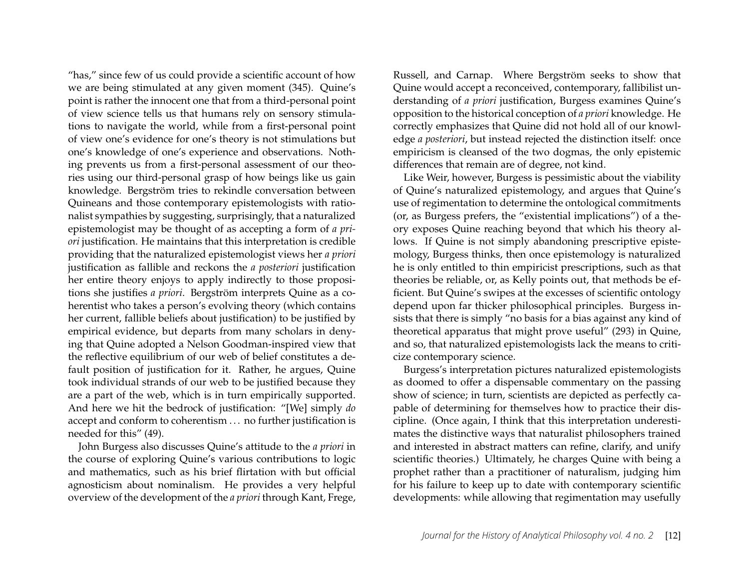"has," since few of us could provide a scientific account of how we are being stimulated at any given moment (345). Quine's point is rather the innocent one that from a third-personal point of view science tells us that humans rely on sensory stimulations to navigate the world, while from a first-personal point of view one's evidence for one's theory is not stimulations but one's knowledge of one's experience and observations. Nothing prevents us from a first-personal assessment of our theories using our third-personal grasp of how beings like us gain knowledge. Bergström tries to rekindle conversation between Quineans and those contemporary epistemologists with rationalist sympathies by suggesting, surprisingly, that a naturalized epistemologist may be thought of as accepting a form of *a priori* justification. He maintains that this interpretation is credible providing that the naturalized epistemologist views her *a priori* justification as fallible and reckons the *a posteriori* justification her entire theory enjoys to apply indirectly to those propositions she justifies *a priori*. Bergström interprets Quine as a coherentist who takes a person's evolving theory (which contains her current, fallible beliefs about justification) to be justified by empirical evidence, but departs from many scholars in denying that Quine adopted a Nelson Goodman-inspired view that the reflective equilibrium of our web of belief constitutes a default position of justification for it. Rather, he argues, Quine took individual strands of our web to be justified because they are a part of the web, which is in turn empirically supported. And here we hit the bedrock of justification: "[We] simply *do* accept and conform to coherentism . . . no further justification is needed for this" (49).

John Burgess also discusses Quine's attitude to the *a priori* in the course of exploring Quine's various contributions to logic and mathematics, such as his brief flirtation with but official agnosticism about nominalism. He provides a very helpful overview of the development of the *a priori* through Kant, Frege, Russell, and Carnap. Where Bergström seeks to show that Quine would accept a reconceived, contemporary, fallibilist understanding of *a priori* justification, Burgess examines Quine's opposition to the historical conception of *a priori* knowledge. He correctly emphasizes that Quine did not hold all of our knowledge *a posteriori*, but instead rejected the distinction itself: once empiricism is cleansed of the two dogmas, the only epistemic differences that remain are of degree, not kind.

Like Weir, however, Burgess is pessimistic about the viability of Quine's naturalized epistemology, and argues that Quine's use of regimentation to determine the ontological commitments (or, as Burgess prefers, the "existential implications") of a theory exposes Quine reaching beyond that which his theory allows. If Quine is not simply abandoning prescriptive epistemology, Burgess thinks, then once epistemology is naturalized he is only entitled to thin empiricist prescriptions, such as that theories be reliable, or, as Kelly points out, that methods be efficient. But Quine's swipes at the excesses of scientific ontology depend upon far thicker philosophical principles. Burgess insists that there is simply "no basis for a bias against any kind of theoretical apparatus that might prove useful" (293) in Quine, and so, that naturalized epistemologists lack the means to criticize contemporary science.

Burgess's interpretation pictures naturalized epistemologists as doomed to offer a dispensable commentary on the passing show of science; in turn, scientists are depicted as perfectly capable of determining for themselves how to practice their discipline. (Once again, I think that this interpretation underestimates the distinctive ways that naturalist philosophers trained and interested in abstract matters can refine, clarify, and unify scientific theories.) Ultimately, he charges Quine with being a prophet rather than a practitioner of naturalism, judging him for his failure to keep up to date with contemporary scientific developments: while allowing that regimentation may usefully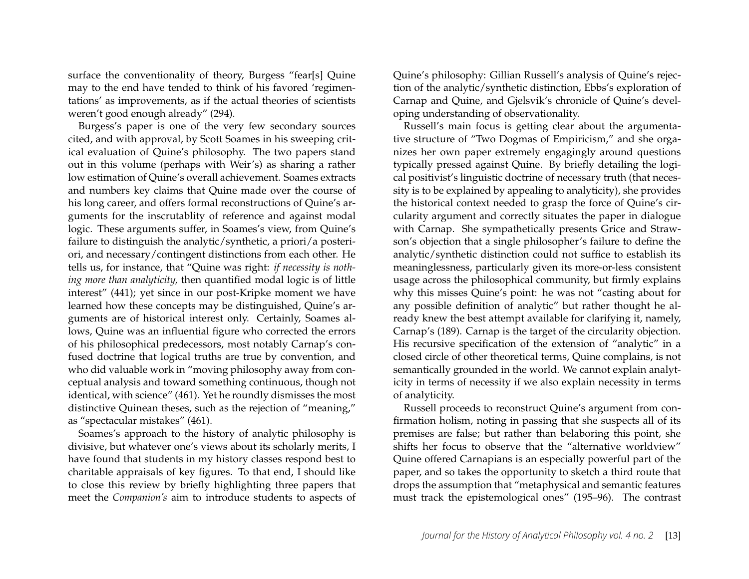surface the conventionality of theory, Burgess "fear[s] Quine may to the end have tended to think of his favored 'regimentations' as improvements, as if the actual theories of scientists weren't good enough already" (294).

Burgess's paper is one of the very few secondary sources cited, and with approval, by Scott Soames in his sweeping critical evaluation of Quine's philosophy. The two papers stand out in this volume (perhaps with Weir's) as sharing a rather low estimation of Quine's overall achievement. Soames extracts and numbers key claims that Quine made over the course of his long career, and offers formal reconstructions of Quine's arguments for the inscrutablity of reference and against modal logic. These arguments suffer, in Soames's view, from Quine's failure to distinguish the analytic/synthetic, a priori/a posteriori, and necessary/contingent distinctions from each other. He tells us, for instance, that "Quine was right: *if necessity is nothing more than analyticity,* then quantified modal logic is of little interest" (441); yet since in our post-Kripke moment we have learned how these concepts may be distinguished, Quine's arguments are of historical interest only. Certainly, Soames allows, Quine was an influential figure who corrected the errors of his philosophical predecessors, most notably Carnap's confused doctrine that logical truths are true by convention, and who did valuable work in "moving philosophy away from conceptual analysis and toward something continuous, though not identical, with science" (461). Yet he roundly dismisses the most distinctive Quinean theses, such as the rejection of "meaning," as "spectacular mistakes" (461).

Soames's approach to the history of analytic philosophy is divisive, but whatever one's views about its scholarly merits, I have found that students in my history classes respond best to charitable appraisals of key figures. To that end, I should like to close this review by briefly highlighting three papers that meet the *Companion's* aim to introduce students to aspects of Quine's philosophy: Gillian Russell's analysis of Quine's rejection of the analytic/synthetic distinction, Ebbs's exploration of Carnap and Quine, and Gjelsvik's chronicle of Quine's developing understanding of observationality.

Russell's main focus is getting clear about the argumentative structure of "Two Dogmas of Empiricism," and she organizes her own paper extremely engagingly around questions typically pressed against Quine. By briefly detailing the logical positivist's linguistic doctrine of necessary truth (that necessity is to be explained by appealing to analyticity), she provides the historical context needed to grasp the force of Quine's circularity argument and correctly situates the paper in dialogue with Carnap. She sympathetically presents Grice and Strawson's objection that a single philosopher's failure to define the analytic/synthetic distinction could not suffice to establish its meaninglessness, particularly given its more-or-less consistent usage across the philosophical community, but firmly explains why this misses Quine's point: he was not "casting about for any possible definition of analytic" but rather thought he already knew the best attempt available for clarifying it, namely, Carnap's (189). Carnap is the target of the circularity objection. His recursive specification of the extension of "analytic" in a closed circle of other theoretical terms, Quine complains, is not semantically grounded in the world. We cannot explain analyticity in terms of necessity if we also explain necessity in terms of analyticity.

Russell proceeds to reconstruct Quine's argument from confirmation holism, noting in passing that she suspects all of its premises are false; but rather than belaboring this point, she shifts her focus to observe that the "alternative worldview" Quine offered Carnapians is an especially powerful part of the paper, and so takes the opportunity to sketch a third route that drops the assumption that "metaphysical and semantic features must track the epistemological ones" (195–96). The contrast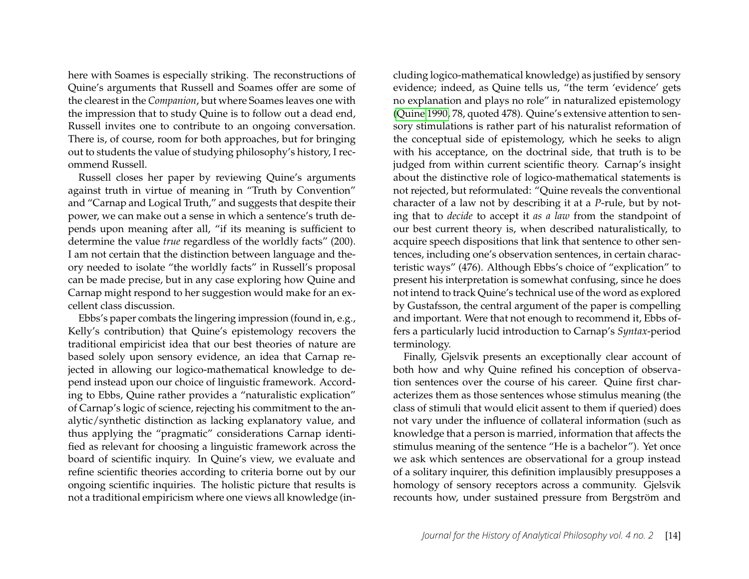here with Soames is especially striking. The reconstructions of Quine's arguments that Russell and Soames offer are some of the clearest in the *Companion*, but where Soames leaves one with the impression that to study Quine is to follow out a dead end, Russell invites one to contribute to an ongoing conversation. There is, of course, room for both approaches, but for bringing out to students the value of studying philosophy's history, I recommend Russell.

Russell closes her paper by reviewing Quine's arguments against truth in virtue of meaning in "Truth by Convention" and "Carnap and Logical Truth," and suggests that despite their power, we can make out a sense in which a sentence's truth depends upon meaning after all, "if its meaning is sufficient to determine the value *true* regardless of the worldly facts" (200). I am not certain that the distinction between language and theory needed to isolate "the worldly facts" in Russell's proposal can be made precise, but in any case exploring how Quine and Carnap might respond to her suggestion would make for an excellent class discussion.

Ebbs's paper combats the lingering impression (found in, e.g., Kelly's contribution) that Quine's epistemology recovers the traditional empiricist idea that our best theories of nature are based solely upon sensory evidence, an idea that Carnap rejected in allowing our logico-mathematical knowledge to depend instead upon our choice of linguistic framework. According to Ebbs, Quine rather provides a "naturalistic explication" of Carnap's logic of science, rejecting his commitment to the analytic/synthetic distinction as lacking explanatory value, and thus applying the "pragmatic" considerations Carnap identified as relevant for choosing a linguistic framework across the board of scientific inquiry. In Quine's view, we evaluate and refine scientific theories according to criteria borne out by our ongoing scientific inquiries. The holistic picture that results is not a traditional empiricism where one views all knowledge (in-

cluding logico-mathematical knowledge) as justified by sensory evidence; indeed, as Quine tells us, "the term 'evidence' gets no explanation and plays no role" in naturalized epistemology [\(Quine 1990,](#page-16-6) 78, quoted 478). Quine's extensive attention to sensory stimulations is rather part of his naturalist reformation of the conceptual side of epistemology, which he seeks to align with his acceptance, on the doctrinal side, that truth is to be judged from within current scientific theory. Carnap's insight about the distinctive role of logico-mathematical statements is not rejected, but reformulated: "Quine reveals the conventional character of a law not by describing it at a *P*-rule, but by noting that to *decide* to accept it *as a law* from the standpoint of our best current theory is, when described naturalistically, to acquire speech dispositions that link that sentence to other sentences, including one's observation sentences, in certain characteristic ways" (476). Although Ebbs's choice of "explication" to present his interpretation is somewhat confusing, since he does not intend to track Quine's technical use of the word as explored by Gustafsson, the central argument of the paper is compelling and important. Were that not enough to recommend it, Ebbs offers a particularly lucid introduction to Carnap's *Syntax*-period terminology.

Finally, Gjelsvik presents an exceptionally clear account of both how and why Quine refined his conception of observation sentences over the course of his career. Quine first characterizes them as those sentences whose stimulus meaning (the class of stimuli that would elicit assent to them if queried) does not vary under the influence of collateral information (such as knowledge that a person is married, information that affects the stimulus meaning of the sentence "He is a bachelor"). Yet once we ask which sentences are observational for a group instead of a solitary inquirer, this definition implausibly presupposes a homology of sensory receptors across a community. Gjelsvik recounts how, under sustained pressure from Bergström and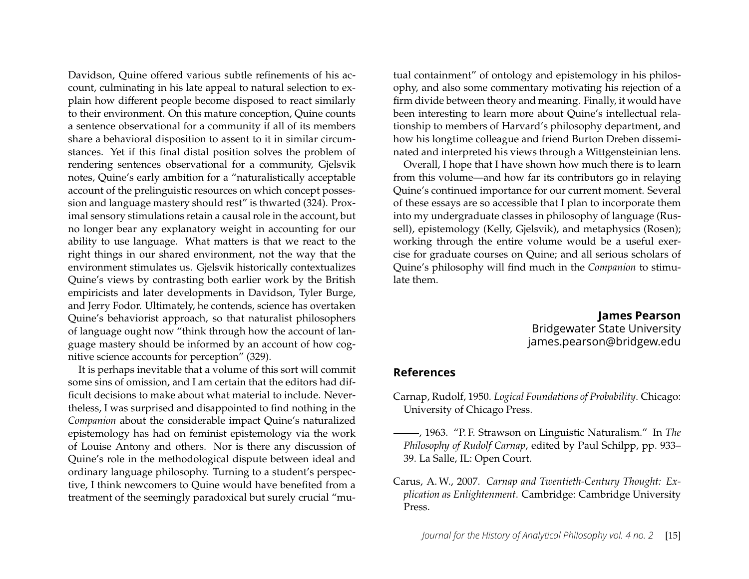Davidson, Quine offered various subtle refinements of his account, culminating in his late appeal to natural selection to explain how different people become disposed to react similarly to their environment. On this mature conception, Quine counts a sentence observational for a community if all of its members share a behavioral disposition to assent to it in similar circumstances. Yet if this final distal position solves the problem of rendering sentences observational for a community, Gjelsvik notes, Quine's early ambition for a "naturalistically acceptable account of the prelinguistic resources on which concept possession and language mastery should rest" is thwarted (324). Proximal sensory stimulations retain a causal role in the account, but no longer bear any explanatory weight in accounting for our ability to use language. What matters is that we react to the right things in our shared environment, not the way that the environment stimulates us. Gjelsvik historically contextualizes Quine's views by contrasting both earlier work by the British empiricists and later developments in Davidson, Tyler Burge, and Jerry Fodor. Ultimately, he contends, science has overtaken Quine's behaviorist approach, so that naturalist philosophers of language ought now "think through how the account of language mastery should be informed by an account of how cognitive science accounts for perception" (329).

It is perhaps inevitable that a volume of this sort will commit some sins of omission, and I am certain that the editors had difficult decisions to make about what material to include. Nevertheless, I was surprised and disappointed to find nothing in the *Companion* about the considerable impact Quine's naturalized epistemology has had on feminist epistemology via the work of Louise Antony and others. Nor is there any discussion of Quine's role in the methodological dispute between ideal and ordinary language philosophy. Turning to a student's perspective, I think newcomers to Quine would have benefited from a treatment of the seemingly paradoxical but surely crucial "mutual containment" of ontology and epistemology in his philosophy, and also some commentary motivating his rejection of a firm divide between theory and meaning. Finally, it would have been interesting to learn more about Quine's intellectual relationship to members of Harvard's philosophy department, and how his longtime colleague and friend Burton Dreben disseminated and interpreted his views through a Wittgensteinian lens.

Overall, I hope that I have shown how much there is to learn from this volume—and how far its contributors go in relaying Quine's continued importance for our current moment. Several of these essays are so accessible that I plan to incorporate them into my undergraduate classes in philosophy of language (Russell), epistemology (Kelly, Gjelsvik), and metaphysics (Rosen); working through the entire volume would be a useful exercise for graduate courses on Quine; and all serious scholars of Quine's philosophy will find much in the *Companion* to stimulate them.

> **James Pearson** Bridgewater State University james.pearson@bridgew.edu

#### **References**

- <span id="page-15-0"></span>Carnap, Rudolf, 1950. *Logical Foundations of Probability*. Chicago: University of Chicago Press.
- <span id="page-15-2"></span>, 1963. "P. F. Strawson on Linguistic Naturalism." In *The Philosophy of Rudolf Carnap*, edited by Paul Schilpp, pp. 933– 39. La Salle, IL: Open Court.
- <span id="page-15-1"></span>Carus, A. W., 2007. *Carnap and Twentieth-Century Thought: Explication as Enlightenment*. Cambridge: Cambridge University Press.